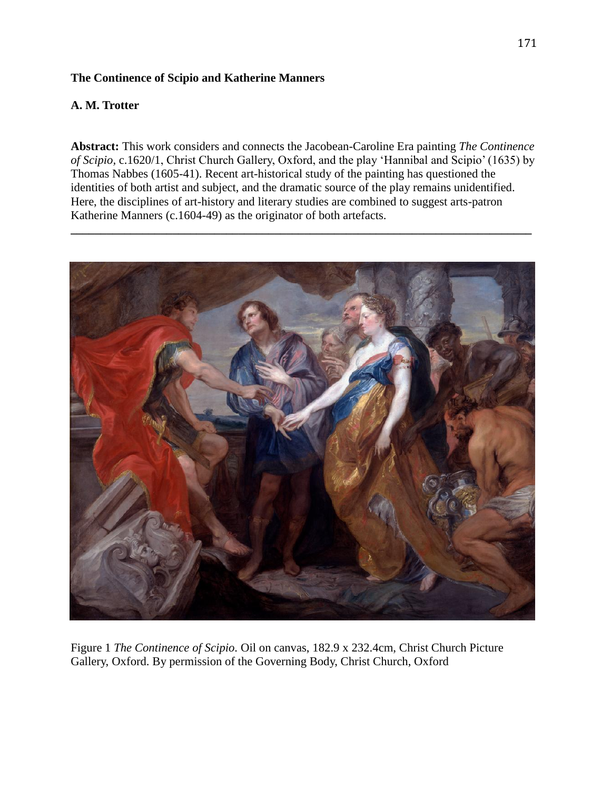## **The Continence of Scipio and Katherine Manners**

# **A. M. Trotter**

**Abstract:** This work considers and connects the Jacobean-Caroline Era painting *The Continence of Scipio,* c.1620/1, Christ Church Gallery, Oxford, and the play 'Hannibal and Scipio' (1635) by Thomas Nabbes (1605-41). Recent art-historical study of the painting has questioned the identities of both artist and subject, and the dramatic source of the play remains unidentified. Here, the disciplines of art-history and literary studies are combined to suggest arts-patron Katherine Manners (c.1604-49) as the originator of both artefacts.

**\_\_\_\_\_\_\_\_\_\_\_\_\_\_\_\_\_\_\_\_\_\_\_\_\_\_\_\_\_\_\_\_\_\_\_\_\_\_\_\_\_\_\_\_\_\_\_\_\_\_\_\_\_\_\_\_\_\_\_\_\_\_\_\_\_\_\_\_\_\_\_\_\_\_\_\_\_**



Figure 1 *The Continence of Scipio.* Oil on canvas, 182.9 x 232.4cm, Christ Church Picture Gallery, Oxford. By permission of the Governing Body, Christ Church, Oxford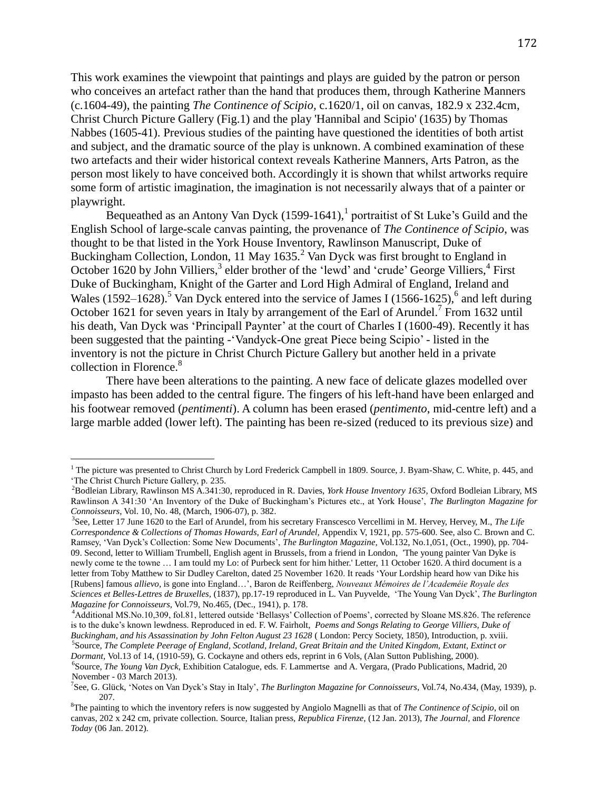This work examines the viewpoint that paintings and plays are guided by the patron or person who conceives an artefact rather than the hand that produces them, through Katherine Manners (c.1604-49), the painting *The Continence of Scipio,* c.1620/1, oil on canvas, 182.9 x 232.4cm, Christ Church Picture Gallery (Fig.1) and the play 'Hannibal and Scipio' (1635) by Thomas Nabbes (1605-41). Previous studies of the painting have questioned the identities of both artist and subject, and the dramatic source of the play is unknown. A combined examination of these two artefacts and their wider historical context reveals Katherine Manners, Arts Patron, as the person most likely to have conceived both. Accordingly it is shown that whilst artworks require some form of artistic imagination, the imagination is not necessarily always that of a painter or playwright.

Bequeathed as an Antony Van Dyck  $(1599-1641)$ ,<sup>1</sup> portraitist of St Luke's Guild and the English School of large-scale canvas painting, the provenance of *The Continence of Scipio*, was thought to be that listed in the York House Inventory, Rawlinson Manuscript, Duke of Buckingham Collection, London, 11 May 1635.<sup>2</sup> Van Dyck was first brought to England in October 1620 by John Villiers,<sup>3</sup> elder brother of the 'lewd' and 'crude' George Villiers,<sup>4</sup> First Duke of Buckingham, Knight of the Garter and Lord High Admiral of England, Ireland and Wales  $(1592-1628)$ .<sup>5</sup> Van Dyck entered into the service of James I  $(1566-1625)$ ,<sup>6</sup> and left during October 1621 for seven years in Italy by arrangement of the Earl of Arundel.<sup>7</sup> From 1632 until his death, Van Dyck was 'Principall Paynter' at the court of Charles I (1600-49). Recently it has been suggested that the painting -'Vandyck-One great Piece being Scipio' - listed in the inventory is not the picture in Christ Church Picture Gallery but another held in a private collection in Florence.<sup>8</sup>

There have been alterations to the painting. A new face of delicate glazes modelled over impasto has been added to the central figure. The fingers of his left-hand have been enlarged and his footwear removed (*pentimenti*). A column has been erased (*pentimento*, mid-centre left) and a large marble added (lower left). The painting has been re-sized (reduced to its previous size) and

 $1$  The picture was presented to Christ Church by Lord Frederick Campbell in 1809. Source, J. Byam-Shaw, C. White, p. 445, and 'The Christ Church Picture Gallery, p. 235.

<sup>2</sup>Bodleian Library, Rawlinson MS A.341:30, reproduced in R. Davies, *York House Inventory 1635*, Oxford Bodleian Library, MS Rawlinson A 341:30 'An Inventory of the Duke of Buckingham's Pictures etc., at York House', *The Burlington Magazine for Connoisseurs*, Vol. 10, No. 48, (March, 1906-07), p. 382.

<sup>3</sup> See, Letter 17 June 1620 to the Earl of Arundel, from his secretary Franscesco Vercellimi in M. Hervey, Hervey, M., *The Life Correspondence & Collections of Thomas Howards, Earl of Arundel,* Appendix V, 1921, pp. 575-600. See, also C. Brown and C. Ramsey, 'Van Dyck's Collection: Some New Documents', *The Burlington Magazine,* Vol.132, No.1,051, (Oct., 1990), pp. 704- 09. Second, letter to William Trumbell, English agent in Brussels, from a friend in London, 'The young painter Van Dyke is newly come te the towne … I am tould my Lo: of Purbeck sent for him hither.' Letter, 11 October 1620. A third document is a letter from Toby Matthew to Sir Dudley Carelton, dated 25 November 1620. It reads 'Your Lordship heard how van Dike his [Rubens] famous *allievo,* is gone into England…', Baron de Reiffenberg, *Nouveaux Mémoires de l'Academéie Royale des Sciences et Belles-Lettres de Bruxelles,* (1837), pp.17-19 reproduced in L. Van Puyvelde, 'The Young Van Dyck', *The Burlington Magazine for Connoisseurs*, Vol.79, No.465, (Dec., 1941), p. 178.

<sup>4</sup>Additional MS.No.10,309, fol.81, lettered outside 'Bellasys' Collection of Poems', corrected by Sloane MS.826. The reference is to the duke's known lewdness. Reproduced in ed. F. W. Fairholt, *Poems and Songs Relating to George Villiers, Duke of Buckingham, and his Assassination by John Felton August 23 1628* ( London: Percy Society, 1850), Introduction, p. xviii. 5 Source, *The Complete Peerage of England, Scotland, Ireland, Great Britain and the United Kingdom, Extant, Extinct or* 

*Dormant,* Vol.13 of 14, (1910-59), G. Cockayne and others eds, reprint in 6 Vols, (Alan Sutton Publishing, 2000). 6 Source, *The Young Van Dyck*, Exhibition Catalogue, eds. F. Lammertse and A. Vergara, (Prado Publications, Madrid, 20 November - 03 March 2013).

<sup>7</sup> See, G. Glück, 'Notes on Van Dyck's Stay in Italy', *The Burlington Magazine for Connoisseurs*, Vol.74, No.434, (May, 1939), p. 207.

<sup>8</sup>The painting to which the inventory refers is now suggested by Angiolo Magnelli as that of *The Continence of Scipio*, oil on canvas, 202 x 242 cm, private collection. Source, Italian press*, Republica Firenze,* (12 Jan. 2013), *The Journal,* and *Florence Today* (06 Jan. 2012).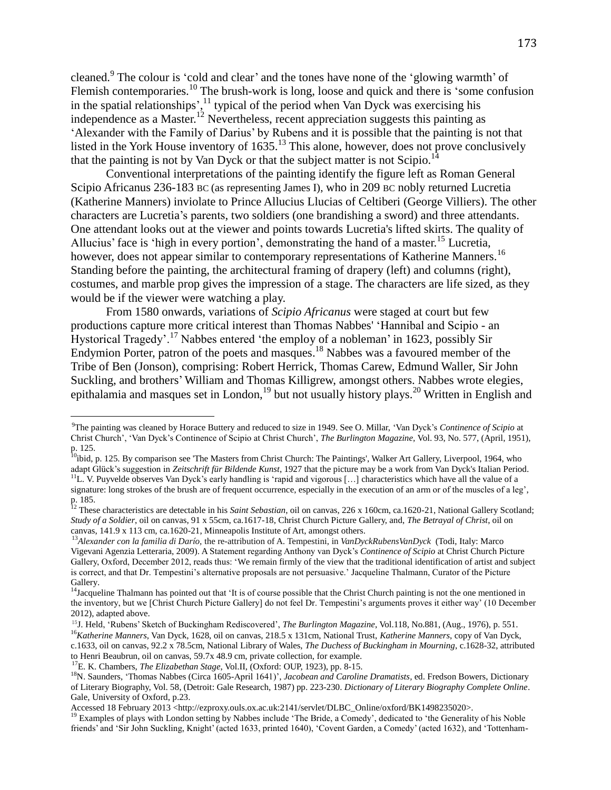cleaned.<sup>9</sup> The colour is 'cold and clear' and the tones have none of the 'glowing warmth' of Flemish contemporaries.<sup>10</sup> The brush-work is long, loose and quick and there is 'some confusion in the spatial relationships', $\frac{11}{11}$  typical of the period when Van Dyck was exercising his independence as a Master.<sup>12</sup> Nevertheless, recent appreciation suggests this painting as 'Alexander with the Family of Darius' by Rubens and it is possible that the painting is not that listed in the York House inventory of  $1635$ .<sup>13</sup> This alone, however, does not prove conclusively that the painting is not by Van Dyck or that the subject matter is not Scipio.<sup>14</sup>

Conventional interpretations of the painting identify the figure left as Roman General Scipio Africanus 236-183 BC (as representing James I), who in 209 BC nobly returned Lucretia (Katherine Manners) inviolate to Prince Allucius Llucias of Celtiberi (George Villiers). The other characters are Lucretia's parents, two soldiers (one brandishing a sword) and three attendants. One attendant looks out at the viewer and points towards Lucretia's lifted skirts. The quality of Allucius' face is 'high in every portion', demonstrating the hand of a master.<sup>15</sup> Lucretia, however, does not appear similar to contemporary representations of Katherine Manners.<sup>16</sup> Standing before the painting, the architectural framing of drapery (left) and columns (right), costumes, and marble prop gives the impression of a stage. The characters are life sized, as they would be if the viewer were watching a play.

From 1580 onwards, variations of *Scipio Africanus* were staged at court but few productions capture more critical interest than Thomas Nabbes' 'Hannibal and Scipio - an Hystorical Tragedy'.<sup>17</sup> Nabbes entered 'the employ of a nobleman' in 1623, possibly Sir Endymion Porter, patron of the poets and masques. <sup>18</sup> Nabbes was a favoured member of the Tribe of Ben (Jonson), comprising: Robert Herrick, Thomas Carew, Edmund Waller, Sir John Suckling, and brothers' William and Thomas Killigrew, amongst others. Nabbes wrote elegies, epithalamia and masques set in London,  $19$  but not usually history plays.  $20$  Written in English and

l

<sup>19</sup> Examples of plays with London setting by Nabbes include 'The Bride, a Comedy', dedicated to 'the Generality of his Noble friends' and 'Sir John Suckling, Knight' (acted 1633, printed 1640), 'Covent Garden, a Comedy' (acted 1632), and 'Tottenham-

<sup>9</sup>The painting was cleaned by Horace Buttery and reduced to size in 1949. See O. Millar, 'Van Dyck's *Continence of Scipio* at Christ Church', 'Van Dyck's Continence of Scipio at Christ Church', *The Burlington Magazine,* Vol. 93, No. 577, (April, 1951), p. 125.

<sup>&</sup>lt;sup>10</sup>ibid, p. 125. By comparison see 'The Masters from Christ Church: The Paintings', Walker Art Gallery, Liverpool, 1964, who adapt Glück's suggestion in *Zeitschrift für Bildende Kunst*, 1927 that the picture may be a work from Van Dyck's Italian Period.

<sup>&</sup>lt;sup>11</sup>L. V. Puyvelde observes Van Dyck's early handling is 'rapid and vigorous [...] characteristics which have all the value of a signature: long strokes of the brush are of frequent occurrence, especially in the execution of an arm or of the muscles of a leg', p. 185.

<sup>&</sup>lt;sup>12</sup> These characteristics are detectable in his *Saint Sebastian*, oil on canvas, 226 x 160cm, ca.1620-21, National Gallery Scotland; *Study of a Soldier*, oil on canvas, 91 x 55cm, ca.1617-18, Christ Church Picture Gallery, and, *The Betrayal of Christ*, oil on canvas, 141.9 x 113 cm, ca.1620-21, Minneapolis Institute of Art, amongst others.

<sup>13</sup>*Alexander con la familia di Darío,* the re-attribution of A. Tempestini, in *VanDyckRubensVanDyck* (Todi, Italy: Marco Vigevani Agenzia Letteraria, 2009). A Statement regarding Anthony van Dyck's *Continence of Scipio* at Christ Church Picture Gallery, Oxford, December 2012, reads thus: 'We remain firmly of the view that the traditional identification of artist and subject is correct, and that Dr. Tempestini's alternative proposals are not persuasive.' Jacqueline Thalmann, Curator of the Picture Gallery.

<sup>&</sup>lt;sup>14</sup>Jacqueline Thalmann has pointed out that 'It is of course possible that the Christ Church painting is not the one mentioned in the inventory, but we [Christ Church Picture Gallery] do not feel Dr. Tempestini's arguments proves it either way' (10 December 2012), adapted above.

<sup>&</sup>lt;sup>15</sup>J. Held, 'Rubens' Sketch of Buckingham Rediscovered', *The Burlington Magazine*, Vol.118, No.881, (Aug., 1976), p. 551. <sup>16</sup>*Katherine Manners*, Van Dyck, 1628, oil on canvas, 218.5 x 131cm, National Trust, *Katherine Manners*, copy of Van Dyck, c.1633, oil on canvas, 92.2 x 78.5cm, National Library of Wales, *The Duchess of Buckingham in Mourning*, c.1628-32, attributed to Henri Beaubrun, oil on canvas, 59.7x 48.9 cm, private collection, for example.

<sup>17</sup>E. K. Chambers, *The Elizabethan Stage*, Vol.II, (Oxford: OUP, 1923), pp. 8-15.

<sup>&</sup>lt;sup>18</sup>N. Saunders, 'Thomas Nabbes (Circa 1605-April 1641)', *Jacobean and Caroline Dramatists*, ed. Fredson Bowers, Dictionary of Literary Biography, Vol. 58, (Detroit: Gale Research, 1987) pp. 223-230. *Dictionary of Literary Biography Complete Online*. Gale, University of Oxford, p.23.

Accessed 18 February 2013 <http://ezproxy.ouls.ox.ac.uk:2141/servlet/DLBC\_Online/oxford/BK1498235020>.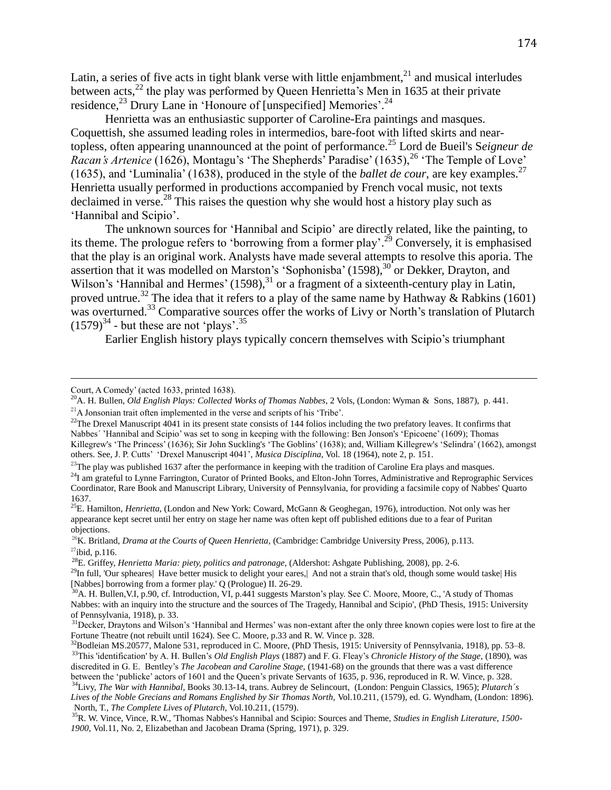Latin, a series of five acts in tight blank verse with little enjambment, $21$  and musical interludes between acts,<sup>22</sup> the play was performed by Queen Henrietta's Men in 1635 at their private residence,  $^{23}$  Drury Lane in 'Honoure of [unspecified] Memories'.  $^{24}$ 

Henrietta was an enthusiastic supporter of Caroline-Era paintings and masques. Coquettish, she assumed leading roles in intermedios, bare-foot with lifted skirts and neartopless, often appearing unannounced at the point of performance.<sup>25</sup> Lord de Bueil's S*eigneur de Racan's Artenice* (1626), Montagu's 'The Shepherds' Paradise' (1635),<sup>26</sup> 'The Temple of Love' (1635), and 'Luminalia' (1638), produced in the style of the *ballet de cour*, are key examples.<sup>27</sup> Henrietta usually performed in productions accompanied by French vocal music, not texts declaimed in verse.<sup>28</sup> This raises the question why she would host a history play such as 'Hannibal and Scipio'.

The unknown sources for 'Hannibal and Scipio' are directly related, like the painting, to its theme. The prologue refers to 'borrowing from a former play'.<sup>29</sup> Conversely, it is emphasised that the play is an original work. Analysts have made several attempts to resolve this aporia. The assertion that it was modelled on Marston's 'Sophonisba' (1598),<sup>30</sup> or Dekker, Drayton, and Wilson's 'Hannibal and Hermes'  $(1598)$ ,<sup>31</sup> or a fragment of a sixteenth-century play in Latin, proved untrue.<sup>32</sup> The idea that it refers to a play of the same name by Hathway & Rabkins (1601) was overturned.<sup>33</sup> Comparative sources offer the works of Livy or North's translation of Plutarch  $(1579)^{34}$  - but these are not 'plays'.<sup>35</sup>

Earlier English history plays typically concern themselves with Scipio's triumphant

Court, A Comedy' (acted 1633, printed 1638).

<sup>20</sup>A. H. Bullen, *Old English Plays: Collected Works of Thomas Nabbes,* 2 Vols, (London: Wyman & Sons, 1887), p. 441. <sup>21</sup>A Jonsonian trait often implemented in the verse and scripts of his 'Tribe'.

<sup>&</sup>lt;sup>22</sup>The Drexel Manuscript  $4041$  in its present state consists of 144 folios including the two prefatory leaves. It confirms that Nabbes´ 'Hannibal and Scipio' was set to song in keeping with the following: Ben Jonson's 'Epicoene' (1609); Thomas Killegrew's 'The Princess' (1636); Sir John Suckling's 'The Goblins' (1638); and, William Killegrew's 'Selindra' (1662), amongst others. See, J. P. Cutts' 'Drexel Manuscript 4041', *Musica Disciplina*, Vol. 18 (1964), note 2, p. 151.

 $^{23}$ The play was published 1637 after the performance in keeping with the tradition of Caroline Era plays and masques.

<sup>&</sup>lt;sup>24</sup>I am grateful to Lynne Farrington, Curator of Printed Books, and Elton-John Torres, Administrative and Reprographic Services Coordinator, Rare Book and Manuscript Library, University of Pennsylvania, for providing a facsimile copy of Nabbes' Quarto 1637.

<sup>25</sup>E. Hamilton, *Henrietta*, (London and New York: Coward, McGann & Geoghegan, 1976), introduction. Not only was her appearance kept secret until her entry on stage her name was often kept off published editions due to a fear of Puritan objections.

<sup>&</sup>lt;sup>26</sup>K. Britland, *Drama at the Courts of Queen Henrietta*, (Cambridge: Cambridge University Press, 2006), p.113.  $27$ ibid, p.116.

<sup>28</sup>E. Griffey, *Henrietta Maria: piety, politics and patronage,* (Aldershot: Ashgate Publishing, 2008), pp. 2-6.

<sup>&</sup>lt;sup>29</sup>In full, 'Our spheares| Have better musick to delight your eares,| And not a strain that's old, though some would taske| His [Nabbes] borrowing from a former play.' Q (Prologue) II. 26-29.

<sup>&</sup>lt;sup>30</sup>A. H. Bullen, V.I, p.90, cf. Introduction, VI, p.441 suggests Marston's play. See C. Moore, Moore, C., 'A study of Thomas Nabbes: with an inquiry into the structure and the sources of The Tragedy, Hannibal and Scipio', (PhD Thesis, 1915: University of Pennsylvania, 1918), p. 33.

<sup>&</sup>lt;sup>31</sup>Decker, Draytons and Wilson's 'Hannibal and Hermes' was non-extant after the only three known copies were lost to fire at the Fortune Theatre (not rebuilt until 1624). See C. Moore, p.33 and R. W. Vince p. 328.

 $32$ Bodleian MS.20577, Malone 531, reproduced in C. Moore, (PhD Thesis, 1915: University of Pennsylvania, 1918), pp. 53–8. <sup>33</sup>This 'identification' by A. H. Bullen's *Old English Plays* (1887) and F. G. Fleay's *Chronicle History of the Stage*, (1890), was discredited in G. E. Bentley's *The Jacobean and Caroline Stage,* (1941-68) on the grounds that there was a vast difference between the 'publicke' actors of 1601 and the Queen's private Servants of 1635, p. 936, reproduced in R. W. Vince, p. 328.

<sup>34</sup>Livy, *The War with Hannibal,* Books 30.13-14, trans. Aubrey de Selincourt, (London: Penguin Classics, 1965); *Plutarch´s Lives of the Noble Grecians and Romans Englished by Sir Thomas North,* Vol.10.211, (1579), ed. G. Wyndham, (London: 1896). North, T., *The Complete Lives of Plutarch,* Vol.10.211, (1579).

<sup>35</sup>R. W. Vince, Vince, R.W., 'Thomas Nabbes's Hannibal and Scipio: Sources and Theme, *Studies in English Literature, 1500- 1900,* Vol.11, No. 2, Elizabethan and Jacobean Drama (Spring, 1971), p. 329.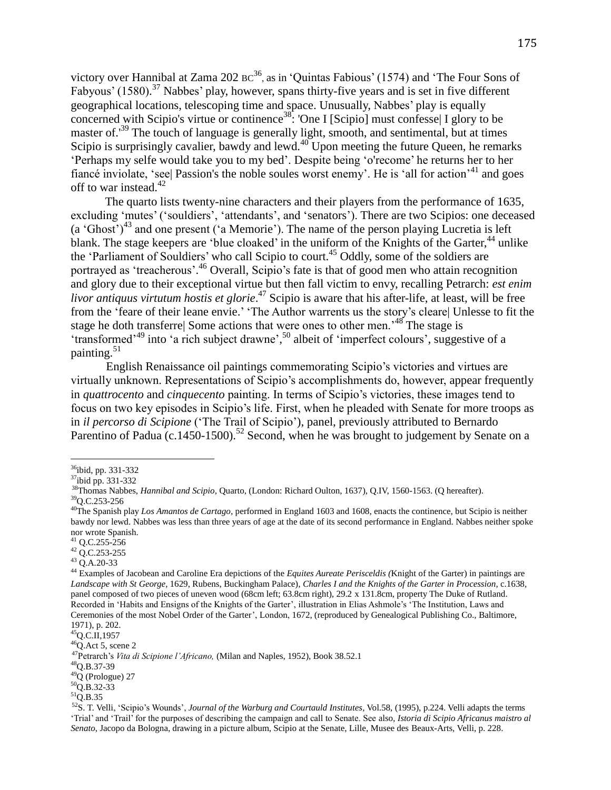victory over Hannibal at Zama 202  $\text{BC}^{36}$ , as in 'Quintas Fabious' (1574) and 'The Four Sons of Fabyous' (1580).<sup>37</sup> Nabbes' play, however, spans thirty-five years and is set in five different geographical locations, telescoping time and space. Unusually, Nabbes' play is equally concerned with Scipio's virtue or continence<sup>38</sup>: 'One I [Scipio] must confesse| I glory to be master of.<sup>39</sup> The touch of language is generally light, smooth, and sentimental, but at times Scipio is surprisingly cavalier, bawdy and lewd.<sup>40</sup> Upon meeting the future Queen, he remarks 'Perhaps my selfe would take you to my bed'. Despite being 'o'recome' he returns her to her fiance inviolate, 'see| Passion's the noble soules worst enemy'. He is 'all for action'<sup>41</sup> and goes off to war instead. 42

The quarto lists twenty-nine characters and their players from the performance of 1635, excluding 'mutes' ('souldiers', 'attendants', and 'senators'). There are two Scipios: one deceased (a 'Ghost')<sup>43</sup> and one present ('a Memorie'). The name of the person playing Lucretia is left blank. The stage keepers are 'blue cloaked' in the uniform of the Knights of the Garter,<sup>44</sup> unlike the 'Parliament of Souldiers' who call Scipio to court. <sup>45</sup> Oddly, some of the soldiers are portrayed as 'treacherous'.<sup>46</sup> Overall, Scipio's fate is that of good men who attain recognition and glory due to their exceptional virtue but then fall victim to envy, recalling Petrarch: *est enim livor antiquus virtutum hostis et glorie*. <sup>47</sup> Scipio is aware that his after-life, at least, will be free from the 'feare of their leane envie.' 'The Author warrents us the story's cleare| Unlesse to fit the stage he doth transferre| Some actions that were ones to other men.<sup>48</sup> The stage is 'transformed'<sup>49</sup> into 'a rich subject drawne',<sup>50</sup> albeit of 'imperfect colours', suggestive of a painting. 51

English Renaissance oil paintings commemorating Scipio's victories and virtues are virtually unknown. Representations of Scipio's accomplishments do, however, appear frequently in *quattrocento* and *cinquecento* painting. In terms of Scipio's victories, these images tend to focus on two key episodes in Scipio's life. First, when he pleaded with Senate for more troops as in *il percorso di Scipione* ('The Trail of Scipio'), panel, previously attributed to Bernardo Parentino of Padua (c.1450-1500).<sup>52</sup> Second, when he was brought to judgement by Senate on a

<sup>36</sup>ibid, pp. 331-332

<sup>37</sup>ibid pp. 331-332

<sup>38</sup>Thomas Nabbes, *Hannibal and Scipio,* Quarto, (London: Richard Oulton, 1637), Q.IV, 1560-1563. (Q hereafter).

<sup>39</sup>Q.C.253-256

<sup>40</sup>The Spanish play *Los Amantos de Cartago,* performed in England 1603 and 1608, enacts the continence, but Scipio is neither bawdy nor lewd. Nabbes was less than three years of age at the date of its second performance in England. Nabbes neither spoke nor wrote Spanish.

<sup>41</sup> Q.C.255-256

 $42$  Q.C.253-255

<sup>43</sup> Q.A.20-33

<sup>44</sup> Examples of Jacobean and Caroline Era depictions of the *Equites Aureate Perisceldis (*Knight of the Garter) in paintings are *Landscape with St George*, 1629, Rubens, Buckingham Palace), *Charles I and the Knights of the Garter in Procession*, c.1638, panel composed of two pieces of uneven wood (68cm left; 63.8cm right), 29.2 x 131.8cm, property The Duke of Rutland. Recorded in 'Habits and Ensigns of the Knights of the Garter', illustration in Elias Ashmole's 'The Institution, Laws and Ceremonies of the most Nobel Order of the Garter', London, 1672, (reproduced by Genealogical Publishing Co., Baltimore, 1971), p. 202.

 $45$ Q.C.II,1957

 $46$ Q.Act 5, scene 2

<sup>47</sup>Petrarch's *Vita di Scipione l'Africano,* (Milan and Naples, 1952), Book 38.52.1

<sup>48</sup>Q.B.37-39

 $^{49}Q$  (Prologue) 27

<sup>50</sup>Q.B.32-33

 $51\overline{O}$ .B.35

<sup>52</sup>S. T. Velli, 'Scipio's Wounds', *Journal of the Warburg and Courtauld Institutes*, Vol.58, (1995), p.224. Velli adapts the terms 'Trial' and 'Trail' for the purposes of describing the campaign and call to Senate. See also, *Istoria di Scipio Africanus maistro al Senato*, Jacopo da Bologna, drawing in a picture album, Scipio at the Senate, Lille, Musee des Beaux-Arts, Velli, p. 228.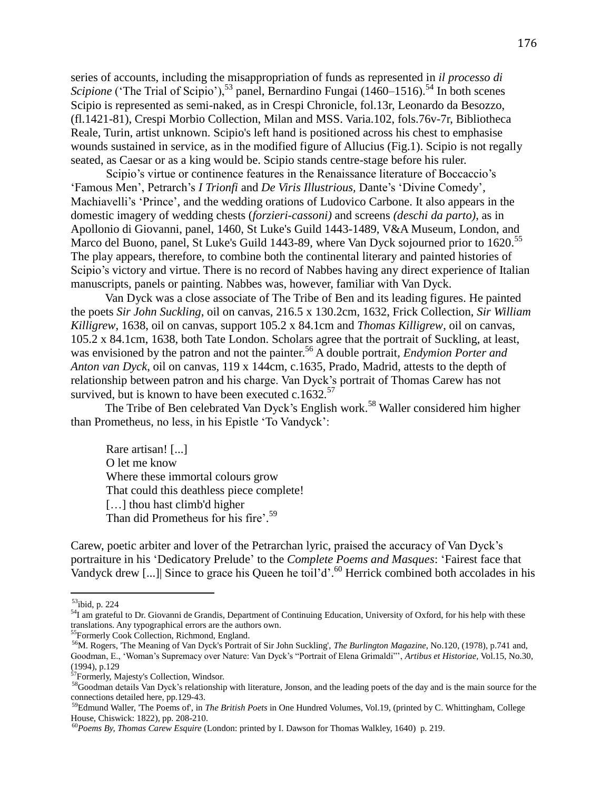series of accounts, including the misappropriation of funds as represented in *il processo di Scipione* ('The Trial of Scipio'),<sup>53</sup> panel, Bernardino Fungai (1460–1516).<sup>54</sup> In both scenes Scipio is represented as semi-naked, as in Crespi Chronicle, fol.13r, Leonardo da Besozzo, (fl.1421-81), Crespi Morbio Collection, Milan and MSS. Varia.102, fols.76v-7r, Bibliotheca Reale, Turin, artist unknown. Scipio's left hand is positioned across his chest to emphasise wounds sustained in service, as in the modified figure of Allucius (Fig.1). Scipio is not regally seated, as Caesar or as a king would be. Scipio stands centre-stage before his ruler.

Scipio's virtue or continence features in the Renaissance literature of Boccaccio's 'Famous Men', Petrarch's *I Trionfi* and *De Viris Illustrious,* Dante's 'Divine Comedy', Machiavelli's 'Prince', and the wedding orations of Ludovico Carbone. It also appears in the domestic imagery of wedding chests (*forzieri-cassoni)* and screens *(deschi da parto)*, as in Apollonio di Giovanni, panel, 1460, St Luke's Guild 1443-1489, V&A Museum, London, and Marco del Buono, panel, St Luke's Guild 1443-89, where Van Dyck sojourned prior to 1620.<sup>55</sup> The play appears, therefore, to combine both the continental literary and painted histories of Scipio's victory and virtue. There is no record of Nabbes having any direct experience of Italian manuscripts, panels or painting. Nabbes was, however, familiar with Van Dyck.

Van Dyck was a close associate of The Tribe of Ben and its leading figures. He painted the poets *Sir John Suckling*, oil on canvas, 216.5 x 130.2cm, 1632, Frick Collection, *Sir William Killigrew*, 1638, oil on canvas, support 105.2 x 84.1cm and *Thomas Killigrew*, oil on canvas, 105.2 x 84.1cm, 1638, both Tate London. Scholars agree that the portrait of Suckling, at least, was envisioned by the patron and not the painter. <sup>56</sup> A double portrait, *Endymion Porter and Anton van Dyck*, oil on canvas, 119 x 144cm, c.1635, Prado, Madrid, attests to the depth of relationship between patron and his charge. Van Dyck's portrait of Thomas Carew has not survived, but is known to have been executed c.1632.<sup>57</sup>

The Tribe of Ben celebrated Van Dyck's English work.<sup>58</sup> Waller considered him higher than Prometheus, no less, in his Epistle 'To Vandyck':

Rare artisan! [...] O let me know Where these immortal colours grow That could this deathless piece complete! [...] thou hast climb'd higher Than did Prometheus for his fire'.<sup>59</sup>

Carew, poetic arbiter and lover of the Petrarchan lyric, praised the accuracy of Van Dyck's portraiture in his 'Dedicatory Prelude' to the *Complete Poems and Masques*: 'Fairest face that Vandyck drew [...]| Since to grace his Queen he toil'd'. <sup>60</sup> Herrick combined both accolades in his

<sup>55</sup>Formerly Cook Collection, Richmond, England.

 $53$ ibid, p. 224

<sup>&</sup>lt;sup>54</sup>I am grateful to Dr. Giovanni de Grandis, Department of Continuing Education, University of Oxford, for his help with these translations. Any typographical errors are the authors own.

<sup>56</sup>M. Rogers, 'The Meaning of Van Dyck's Portrait of Sir John Suckling', *The Burlington Magazine,* No.120, (1978), p.741 and, Goodman, E., 'Woman's Supremacy over Nature: Van Dyck's "Portrait of Elena Grimaldi"', *Artibus et Historiae,* Vol.15, No.30, (1994), p.129

<sup>&</sup>lt;sup>57</sup>Formerly, Majesty's Collection, Windsor.

<sup>&</sup>lt;sup>58</sup>Goodman details Van Dyck's relationship with literature, Jonson, and the leading poets of the day and is the main source for the connections detailed here, pp.129-43.

<sup>59</sup>Edmund Waller, 'The Poems of', in *The British Poets* in One Hundred Volumes, Vol.19, (printed by C. Whittingham, College House, Chiswick: 1822), pp. 208-210.

<sup>60</sup>*Poems By, Thomas Carew Esquire* (London: printed by I. Dawson for Thomas Walkley, 1640) p. 219.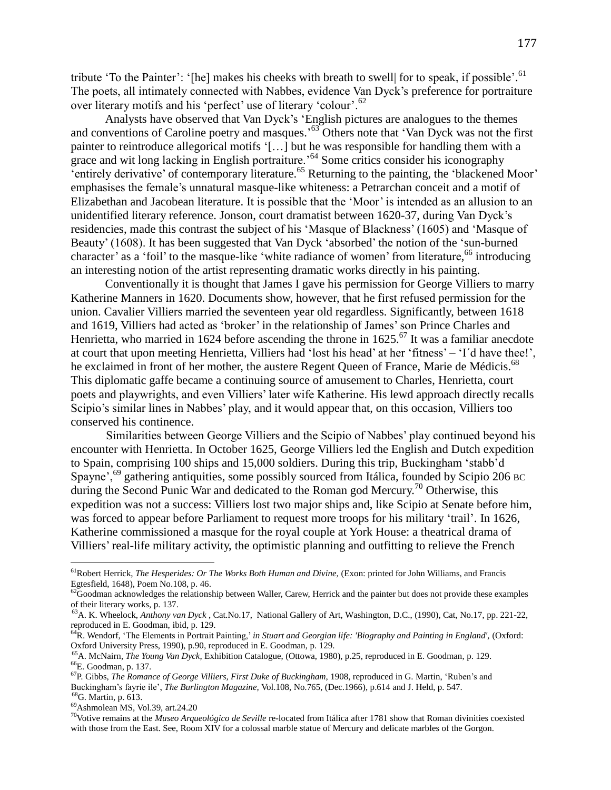tribute 'To the Painter': '[he] makes his cheeks with breath to swell| for to speak, if possible'.<sup>61</sup> The poets, all intimately connected with Nabbes, evidence Van Dyck's preference for portraiture over literary motifs and his 'perfect' use of literary 'colour'.<sup>62</sup>

Analysts have observed that Van Dyck's 'English pictures are analogues to the themes and conventions of Caroline poetry and masques.<sup>563</sup> Others note that 'Van Dyck was not the first painter to reintroduce allegorical motifs '[…] but he was responsible for handling them with a grace and wit long lacking in English portraiture.<sup>64</sup> Some critics consider his iconography 'entirely derivative' of contemporary literature.<sup>65</sup> Returning to the painting, the 'blackened Moor' emphasises the female's unnatural masque-like whiteness: a Petrarchan conceit and a motif of Elizabethan and Jacobean literature. It is possible that the 'Moor' is intended as an allusion to an unidentified literary reference. Jonson, court dramatist between 1620-37, during Van Dyck's residencies, made this contrast the subject of his 'Masque of Blackness' (1605) and 'Masque of Beauty' (1608). It has been suggested that Van Dyck 'absorbed' the notion of the 'sun-burned character' as a 'foil' to the masque-like 'white radiance of women' from literature,<sup>66</sup> introducing an interesting notion of the artist representing dramatic works directly in his painting.

Conventionally it is thought that James I gave his permission for George Villiers to marry Katherine Manners in 1620. Documents show, however, that he first refused permission for the union. Cavalier Villiers married the seventeen year old regardless. Significantly, between 1618 and 1619, Villiers had acted as 'broker' in the relationship of James' son Prince Charles and Henrietta, who married in 1624 before ascending the throne in  $1625$ .<sup>67</sup> It was a familiar anecdote at court that upon meeting Henrietta, Villiers had 'lost his head' at her 'fitness' – 'I´d have thee!', he exclaimed in front of her mother, the austere Regent Queen of France, Marie de Médicis.<sup>68</sup> This diplomatic gaffe became a continuing source of amusement to Charles, Henrietta, court poets and playwrights, and even Villiers' later wife Katherine. His lewd approach directly recalls Scipio's similar lines in Nabbes' play, and it would appear that, on this occasion, Villiers too conserved his continence.

Similarities between George Villiers and the Scipio of Nabbes' play continued beyond his encounter with Henrietta. In October 1625, George Villiers led the English and Dutch expedition to Spain, comprising 100 ships and 15,000 soldiers. During this trip, Buckingham 'stabb'd Spayne',<sup>69</sup> gathering antiquities, some possibly sourced from Itálica, founded by Scipio 206 BC during the Second Punic War and dedicated to the Roman god Mercury.<sup>70</sup> Otherwise, this expedition was not a success: Villiers lost two major ships and, like Scipio at Senate before him, was forced to appear before Parliament to request more troops for his military 'trail'. In 1626, Katherine commissioned a masque for the royal couple at York House: a theatrical drama of Villiers' real-life military activity, the optimistic planning and outfitting to relieve the French

<sup>&</sup>lt;sup>61</sup>Robert Herrick, *The Hesperides: Or The Works Both Human and Divine*, (Exon: printed for John Williams, and Francis Egtesfield, 1648), Poem No.108, p. 46.

 $^{62}$ Goodman acknowledges the relationship between Waller, Carew, Herrick and the painter but does not provide these examples of their literary works, p. 137.

<sup>63</sup>A. K. Wheelock, *Anthony van Dyck* , Cat.No.17, National Gallery of Art, Washington, D.C., (1990), Cat, No.17, pp. 221-22, reproduced in E. Goodman, ibid, p. 129.

<sup>64</sup>R. Wendorf, 'The Elements in Portrait Painting,' *in Stuart and Georgian life: 'Biography and Painting in England',* (Oxford: Oxford University Press, 1990), p.90, reproduced in E. Goodman, p. 129.

<sup>65</sup>A. McNairn, *The Young Van Dyck*, Exhibition Catalogue, (Ottowa, 1980), p.25, reproduced in E. Goodman, p. 129. <sup>66</sup>E. Goodman, p. 137.

<sup>67</sup>P. Gibbs, *The Romance of George Villiers, First Duke of Buckingham*, 1908, reproduced in G. Martin, 'Ruben's and Buckingham's fayrie ile', *The Burlington Magazine,* Vol.108, No.765, (Dec.1966), p.614 and J. Held, p. 547. <sup>68</sup>G. Martin, p. 613.

<sup>69</sup>Ashmolean MS, Vol.39, art.24.20

<sup>70</sup>Votive remains at the *Museo Arqueológico de Seville* re-located from Itálica after 1781 show that Roman divinities coexisted with those from the East. See, Room XIV for a colossal marble statue of Mercury and delicate marbles of the Gorgon.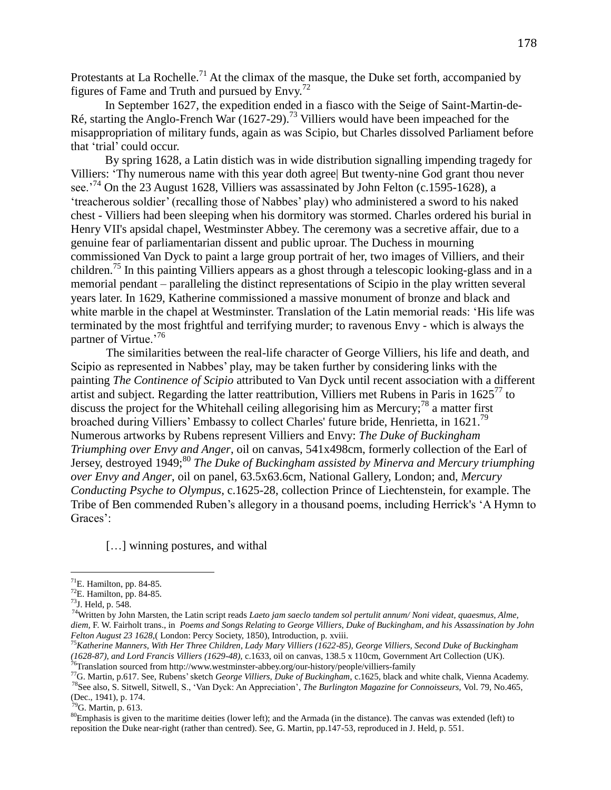Protestants at La Rochelle.<sup>71</sup> At the climax of the masque, the Duke set forth, accompanied by figures of Fame and Truth and pursued by  $Envy.<sup>72</sup>$ 

In September 1627, the expedition ended in a fiasco with the Seige of Saint-Martin-de-Ré, starting the Anglo-French War (1627-29).<sup>73</sup> Villiers would have been impeached for the misappropriation of military funds, again as was Scipio, but Charles dissolved Parliament before that 'trial' could occur.

By spring 1628, a Latin distich was in wide distribution signalling impending tragedy for Villiers: 'Thy numerous name with this year doth agree| But twenty-nine God grant thou never see.<sup>'74</sup> On the 23 August 1628, Villiers was assassinated by John Felton (c.1595-1628), a 'treacherous soldier' (recalling those of Nabbes' play) who administered a sword to his naked chest - Villiers had been sleeping when his dormitory was stormed. Charles ordered his burial in Henry VII's apsidal chapel, Westminster Abbey. The ceremony was a secretive affair, due to a genuine fear of parliamentarian dissent and public uproar. The Duchess in mourning commissioned Van Dyck to paint a large group portrait of her, two images of Villiers, and their children.<sup>75</sup> In this painting Villiers appears as a ghost through a telescopic looking-glass and in a memorial pendant – paralleling the distinct representations of Scipio in the play written several years later. In 1629, Katherine commissioned a massive monument of bronze and black and white marble in the chapel at Westminster. Translation of the Latin memorial reads: 'His life was terminated by the most frightful and terrifying murder; to ravenous Envy - which is always the partner of Virtue.'<sup>76</sup>

The similarities between the real-life character of George Villiers, his life and death, and Scipio as represented in Nabbes' play, may be taken further by considering links with the painting *The Continence of Scipio* attributed to Van Dyck until recent association with a different artist and subject. Regarding the latter reattribution, Villiers met Rubens in Paris in  $1625^{77}$  to discuss the project for the Whitehall ceiling allegorising him as Mercury;<sup>78</sup> a matter first broached during Villiers' Embassy to collect Charles' future bride, Henrietta, in 1621.<sup>79</sup> Numerous artworks by Rubens represent Villiers and Envy: *The Duke of Buckingham Triumphing over Envy and Anger*, oil on canvas, 541x498cm, formerly collection of the Earl of Jersey, destroyed 1949;<sup>80</sup> *The Duke of Buckingham assisted by Minerva and Mercury triumphing over Envy and Anger*, oil on panel, 63.5x63.6cm, National Gallery, London; and, *Mercury Conducting Psyche to Olympus*, c.1625-28, collection Prince of Liechtenstein, for example. The Tribe of Ben commended Ruben's allegory in a thousand poems, including Herrick's 'A Hymn to Graces':

[...] winning postures, and withal

 $<sup>71</sup>E$ . Hamilton, pp. 84-85.</sup>

 $72$ E. Hamilton, pp. 84-85.

<sup>73</sup>J. Held, p. 548.

<sup>74</sup>Written by John Marsten, the Latin script reads *Laeto jam saeclo tandem sol pertulit annum/ Noni videat, quaesmus, Alme, diem,* F. W. Fairholt trans., in *Poems and Songs Relating to George Villiers, Duke of Buckingham, and his Assassination by John Felton August 23 1628,*( London: Percy Society, 1850), Introduction, p. xviii.

<sup>75</sup>*Katherine Manners, With Her Three Children, Lady Mary Villiers (1622-85), George Villiers, Second Duke of Buckingham (1628-87), and Lord Francis Villiers (1629-48),* c.1633, oil on canvas, 138.5 x 110cm, Government Art Collection (UK). <sup>76</sup>Translation sourced from http://www.westminster-abbey.org/our-history/people/villiers-family

<sup>77</sup>G. Martin, p.617. See, Rubens'sketch *George Villiers, Duke of Buckingham*, c.1625, black and white chalk, Vienna Academy. <sup>78</sup>See also, S. Sitwell, Sitwell, S., 'Van Dyck: An Appreciation', *The Burlington Magazine for Connoisseurs,* Vol. 79, No.465,

<sup>(</sup>Dec., 1941), p. 174.

 $^{79}$ G. Martin, p. 613.

 ${}^{80}$ Emphasis is given to the maritime deities (lower left); and the Armada (in the distance). The canvas was extended (left) to reposition the Duke near-right (rather than centred). See, G. Martin, pp.147-53, reproduced in J. Held, p. 551.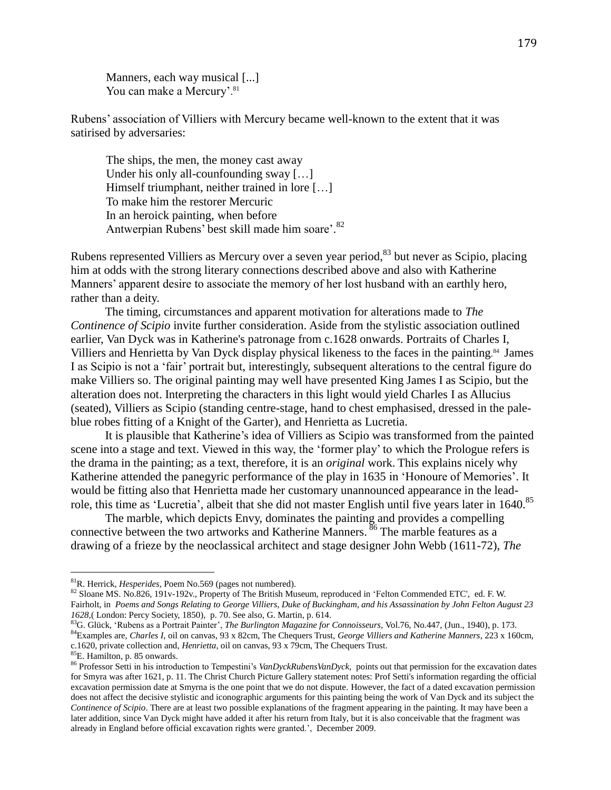Manners, each way musical [...] You can make a Mercury'.<sup>81</sup>

Rubens' association of Villiers with Mercury became well-known to the extent that it was satirised by adversaries:

The ships, the men, the money cast away Under his only all-counfounding sway [...] Himself triumphant, neither trained in lore […] To make him the restorer Mercuric In an heroick painting, when before Antwerpian Rubens' best skill made him soare'. 82

Rubens represented Villiers as Mercury over a seven year period, <sup>83</sup> but never as Scipio, placing him at odds with the strong literary connections described above and also with Katherine Manners' apparent desire to associate the memory of her lost husband with an earthly hero, rather than a deity.

The timing, circumstances and apparent motivation for alterations made to *The Continence of Scipio* invite further consideration. Aside from the stylistic association outlined earlier, Van Dyck was in Katherine's patronage from c.1628 onwards. Portraits of Charles I, Villiers and Henrietta by Van Dyck display physical likeness to the faces in the painting. <sup>84</sup> James I as Scipio is not a 'fair' portrait but, interestingly, subsequent alterations to the central figure do make Villiers so. The original painting may well have presented King James I as Scipio, but the alteration does not. Interpreting the characters in this light would yield Charles I as Allucius (seated), Villiers as Scipio (standing centre-stage, hand to chest emphasised, dressed in the paleblue robes fitting of a Knight of the Garter), and Henrietta as Lucretia.

It is plausible that Katherine's idea of Villiers as Scipio was transformed from the painted scene into a stage and text. Viewed in this way, the 'former play' to which the Prologue refers is the drama in the painting; as a text, therefore, it is an *original* work. This explains nicely why Katherine attended the panegyric performance of the play in 1635 in 'Honoure of Memories'. It would be fitting also that Henrietta made her customary unannounced appearance in the leadrole, this time as 'Lucretia', albeit that she did not master English until five years later in 1640.<sup>85</sup>

The marble, which depicts Envy, dominates the painting and provides a compelling connective between the two artworks and Katherine Manners.  $\frac{86}{6}$  The marble features as a drawing of a frieze by the neoclassical architect and stage designer John Webb (1611-72), *The* 

<sup>81</sup>R. Herrick, *Hesperides,* Poem No.569 (pages not numbered).

<sup>82</sup> Sloane MS. No.826, 191v-192v., Property of The British Museum, reproduced in 'Felton Commended ETC', ed. F. W. Fairholt, in *Poems and Songs Relating to George Villiers, Duke of Buckingham, and his Assassination by John Felton August 23 1628,*( London: Percy Society, 1850), p. 70. See also, G. Martin, p. 614.

<sup>83</sup>G. Glück, 'Rubens as a Portrait Painter', *The Burlington Magazine for Connoisseurs,* Vol.76, No.447, (Jun., 1940), p. 173. <sup>84</sup>Examples are, *Charles I*, oil on canvas, 93 x 82cm, The Chequers Trust, *George Villiers and Katherine Manners*, 223 x 160cm, c.1620, private collection and, *Henrietta*, oil on canvas, 93 x 79cm, The Chequers Trust.

<sup>85</sup>E. Hamilton, p. 85 onwards.

<sup>86</sup> Professor Setti in his introduction to Tempestini's *VanDyckRubensVanDyck,* points out that permission for the excavation dates for Smyra was after 1621, p. 11. The Christ Church Picture Gallery statement notes: Prof Setti's information regarding the official excavation permission date at Smyrna is the one point that we do not dispute. However, the fact of a dated excavation permission does not affect the decisive stylistic and iconographic arguments for this painting being the work of Van Dyck and its subject the *Continence of Scipio*. There are at least two possible explanations of the fragment appearing in the painting. It may have been a later addition, since Van Dyck might have added it after his return from Italy, but it is also conceivable that the fragment was already in England before official excavation rights were granted.', December 2009.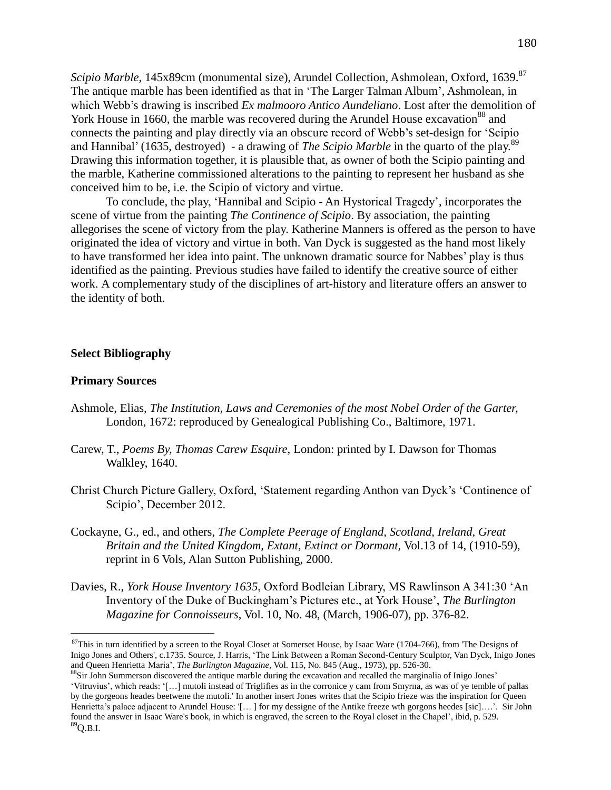*Scipio Marble*, 145x89cm (monumental size), Arundel Collection, Ashmolean, Oxford, 1639.<sup>87</sup> The antique marble has been identified as that in 'The Larger Talman Album', Ashmolean, in which Webb's drawing is inscribed *Ex malmooro Antico Aundeliano*. Lost after the demolition of York House in 1660, the marble was recovered during the Arundel House excavation<sup>88</sup> and connects the painting and play directly via an obscure record of Webb's set-design for 'Scipio and Hannibal' (1635, destroyed) - a drawing of *The Scipio Marble* in the quarto of the play.<sup>89</sup> Drawing this information together, it is plausible that, as owner of both the Scipio painting and the marble, Katherine commissioned alterations to the painting to represent her husband as she conceived him to be, i.e. the Scipio of victory and virtue.

To conclude, the play, 'Hannibal and Scipio - An Hystorical Tragedy', incorporates the scene of virtue from the painting *The Continence of Scipio*. By association, the painting allegorises the scene of victory from the play. Katherine Manners is offered as the person to have originated the idea of victory and virtue in both. Van Dyck is suggested as the hand most likely to have transformed her idea into paint. The unknown dramatic source for Nabbes' play is thus identified as the painting. Previous studies have failed to identify the creative source of either work. A complementary study of the disciplines of art-history and literature offers an answer to the identity of both.

### **Select Bibliography**

### **Primary Sources**

- Ashmole, Elias, *The Institution, Laws and Ceremonies of the most Nobel Order of the Garter,* London, 1672: reproduced by Genealogical Publishing Co., Baltimore, 1971.
- Carew, T., *Poems By, Thomas Carew Esquire,* London: printed by I. Dawson for Thomas Walkley, 1640.
- Christ Church Picture Gallery, Oxford, 'Statement regarding Anthon van Dyck's 'Continence of Scipio', December 2012.
- Cockayne, G., ed., and others, *The Complete Peerage of England, Scotland, Ireland, Great Britain and the United Kingdom, Extant, Extinct or Dormant,* Vol.13 of 14, (1910-59), reprint in 6 Vols, Alan Sutton Publishing, 2000.
- Davies, R., *York House Inventory 1635*, Oxford Bodleian Library, MS Rawlinson A 341:30 'An Inventory of the Duke of Buckingham's Pictures etc., at York House', *The Burlington Magazine for Connoisseurs*, Vol. 10, No. 48, (March, 1906-07), pp. 376-82.

<sup>&</sup>lt;sup>87</sup>This in turn identified by a screen to the Royal Closet at Somerset House, by Isaac Ware (1704-766), from 'The Designs of Inigo Jones and Others', c.1735. Source, J. Harris, 'The Link Between a Roman Second-Century Sculptor, Van Dyck, Inigo Jones and Queen Henrietta Maria', *The Burlington Magazine,* Vol. 115, No. 845 (Aug., 1973), pp. 526-30.

<sup>&</sup>lt;sup>88</sup>Sir John Summerson discovered the antique marble during the excavation and recalled the marginalia of Inigo Jones' 'Vitruvius', which reads: '[…] mutoli instead of Triglifies as in the corronice y cam from Smyrna, as was of ye temble of pallas by the gorgeons heades beetwene the mutoli.' In another insert Jones writes that the Scipio frieze was the inspiration for Queen Henrietta's palace adjacent to Arundel House: '[… ] for my dessigne of the Antike freeze wth gorgons heedes [sic]….'. Sir John found the answer in Isaac Ware's book, in which is engraved, the screen to the Royal closet in the Chapel', ibid, p. 529.  ${}^{89}$ Q.B.I.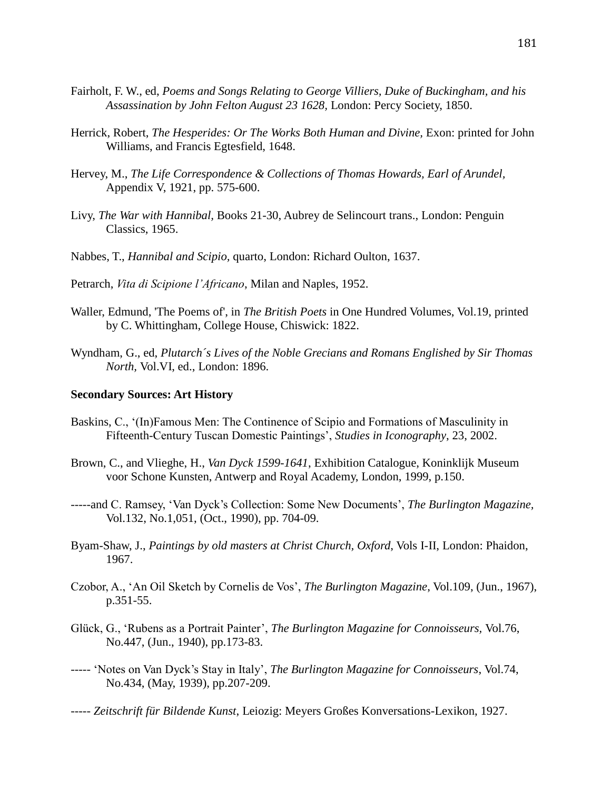- Fairholt, F. W., ed, *Poems and Songs Relating to George Villiers, Duke of Buckingham, and his Assassination by John Felton August 23 1628,* London: Percy Society, 1850.
- Herrick, Robert, *The Hesperides: Or The Works Both Human and Divine,* Exon: printed for John Williams, and Francis Egtesfield, 1648.
- Hervey, M., *The Life Correspondence & Collections of Thomas Howards, Earl of Arundel,*  Appendix V, 1921, pp. 575-600.
- Livy, *The War with Hannibal,* Books 21-30, Aubrey de Selincourt trans., London: Penguin Classics, 1965.
- Nabbes, T., *Hannibal and Scipio,* quarto, London: Richard Oulton, 1637.
- Petrarch, *Vita di Scipione l'Africano*, Milan and Naples, 1952.
- Waller, Edmund, 'The Poems of', in *The British Poets* in One Hundred Volumes, Vol.19, printed by C. Whittingham, College House, Chiswick: 1822.
- Wyndham, G., ed, *Plutarch´s Lives of the Noble Grecians and Romans Englished by Sir Thomas North,* Vol.VI, ed., London: 1896.

#### **Secondary Sources: Art History**

- Baskins, C., '(In)Famous Men: The Continence of Scipio and Formations of Masculinity in Fifteenth-Century Tuscan Domestic Paintings', *Studies in Iconography*, 23, 2002.
- Brown, C., and Vlieghe, H., *Van Dyck 1599-1641*, Exhibition Catalogue, Koninklijk Museum voor Schone Kunsten, Antwerp and Royal Academy, London, 1999, p.150.
- -----and C. Ramsey, 'Van Dyck's Collection: Some New Documents', *The Burlington Magazine,*  Vol.132, No.1,051, (Oct., 1990), pp. 704-09.
- Byam-Shaw, J., *Paintings by old masters at Christ Church, Oxford*, Vols I-II, London: Phaidon, 1967.
- Czobor, A., 'An Oil Sketch by Cornelis de Vos', *The Burlington Magazine*, Vol.109, (Jun., 1967), p.351-55.
- Glück, G., 'Rubens as a Portrait Painter', *The Burlington Magazine for Connoisseurs,* Vol.76, No.447, (Jun., 1940), pp.173-83.
- ----- 'Notes on Van Dyck's Stay in Italy', *The Burlington Magazine for Connoisseurs*, Vol.74, No.434, (May, 1939), pp.207-209.
- ----- *Zeitschrift für Bildende Kunst*, Leiozig: Meyers Großes Konversations-Lexikon, 1927.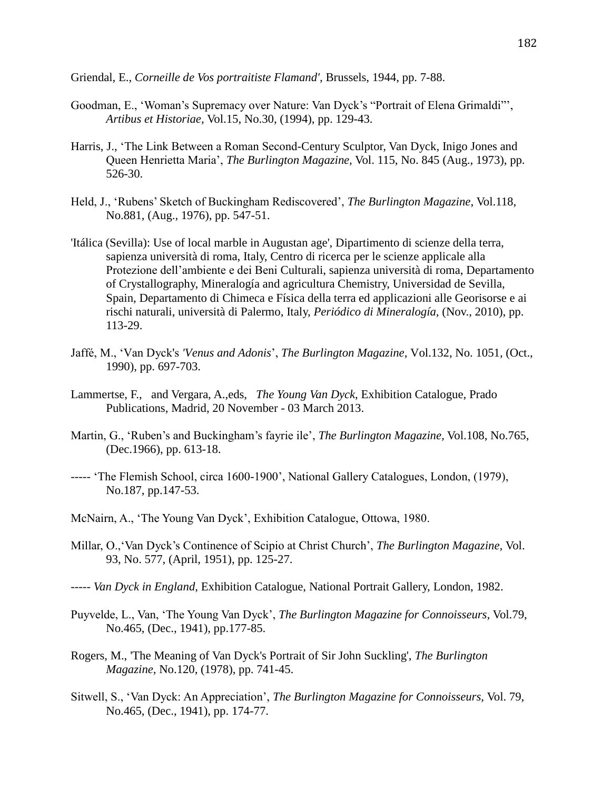Griendal, E., *Corneille de Vos portraitiste Flamand',* Brussels, 1944, pp. 7-88.

- Goodman, E., 'Woman's Supremacy over Nature: Van Dyck's "Portrait of Elena Grimaldi"', *Artibus et Historiae,* Vol.15, No.30, (1994), pp. 129-43.
- Harris, J., 'The Link Between a Roman Second-Century Sculptor, Van Dyck, Inigo Jones and Queen Henrietta Maria', *The Burlington Magazine,* Vol. 115, No. 845 (Aug., 1973), pp. 526-30.
- Held, J., 'Rubens' Sketch of Buckingham Rediscovered', *The Burlington Magazine*, Vol.118, No.881, (Aug., 1976), pp. 547-51.
- 'Itálica (Sevilla): Use of local marble in Augustan age', Dipartimento di scienze della terra, sapienza università di roma, Italy, Centro di ricerca per le scienze applicale alla Protezione dell'ambiente e dei Beni Culturali, sapienza università di roma, Departamento of Crystallography, Mineralogía and agricultura Chemistry, Universidad de Sevilla, Spain, Departamento di Chimeca e Física della terra ed applicazioni alle Georisorse e ai rischi naturali, università di Palermo, Italy, *Periódico di Mineralogía,* (Nov., 2010), pp. 113-29.
- Jaffé, M., 'Van Dyck's *'Venus and Adonis*', *The Burlington Magazine*, Vol.132, No. 1051, (Oct., 1990), pp. 697-703.
- Lammertse, F., and Vergara, A.,eds, *The Young Van Dyck*, Exhibition Catalogue, Prado Publications, Madrid, 20 November - 03 March 2013.
- Martin, G., 'Ruben's and Buckingham's fayrie ile', *The Burlington Magazine,* Vol.108, No.765, (Dec.1966), pp. 613-18.
- ----- 'The Flemish School, circa 1600-1900', National Gallery Catalogues, London, (1979), No.187, pp.147-53.
- McNairn, A., 'The Young Van Dyck', Exhibition Catalogue, Ottowa, 1980.
- Millar, O.,'Van Dyck's Continence of Scipio at Christ Church', *The Burlington Magazine,* Vol. 93, No. 577, (April, 1951), pp. 125-27.
- ----- *Van Dyck in England*, Exhibition Catalogue, National Portrait Gallery, London, 1982.
- Puyvelde, L., Van, 'The Young Van Dyck', *The Burlington Magazine for Connoisseurs*, Vol.79, No.465, (Dec., 1941), pp.177-85.
- Rogers, M., 'The Meaning of Van Dyck's Portrait of Sir John Suckling', *The Burlington Magazine,* No.120, (1978), pp. 741-45.
- Sitwell, S., 'Van Dyck: An Appreciation', *The Burlington Magazine for Connoisseurs,* Vol. 79, No.465, (Dec., 1941), pp. 174-77.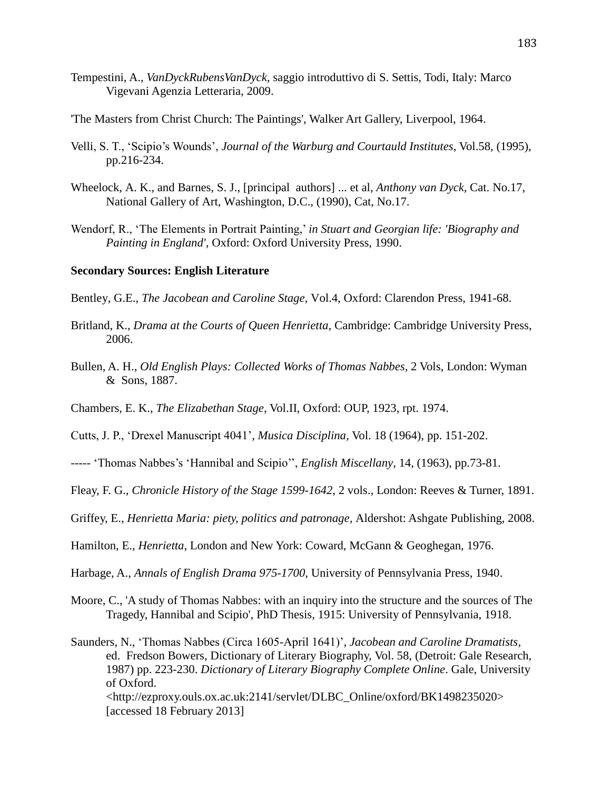- Tempestini, A., *VanDyckRubensVanDyck,* saggio introduttivo di S. Settis, Todi, Italy: Marco Vigevani Agenzia Letteraria, 2009.
- 'The Masters from Christ Church: The Paintings', Walker Art Gallery, Liverpool, 1964.
- Velli, S. T., 'Scipio's Wounds', *Journal of the Warburg and Courtauld Institutes*, Vol.58, (1995), pp.216-234.
- Wheelock, A. K., and Barnes, S. J., [principal authors] ... et al, *Anthony van Dyck*, Cat. No.17, National Gallery of Art, Washington, D.C., (1990), Cat, No.17.
- Wendorf, R., 'The Elements in Portrait Painting,' *in Stuart and Georgian life: 'Biography and Painting in England',* Oxford: Oxford University Press, 1990.

#### **Secondary Sources: English Literature**

Bentley, G.E., *The Jacobean and Caroline Stage,* Vol.4, Oxford: Clarendon Press, 1941-68.

- Britland, K., *Drama at the Courts of Queen Henrietta,* Cambridge: Cambridge University Press, 2006.
- Bullen, A. H., *Old English Plays: Collected Works of Thomas Nabbes,* 2 Vols, London: Wyman & Sons, 1887.
- Chambers, E. K., *The Elizabethan Stage*, Vol.II, Oxford: OUP, 1923, rpt. 1974.
- Cutts, J. P., 'Drexel Manuscript 4041'*, Musica Disciplina,* Vol. 18 (1964), pp. 151-202.
- ----- 'Thomas Nabbes's 'Hannibal and Scipio'', *English Miscellany*, 14, (1963), pp.73-81.
- Fleay, F. G., *Chronicle History of the Stage 1599-1642*, 2 vols., London: Reeves & Turner, 1891.
- Griffey, E., *Henrietta Maria: piety, politics and patronage,* Aldershot: Ashgate Publishing, 2008.
- Hamilton, E., *Henrietta*, London and New York: Coward, McGann & Geoghegan, 1976.
- Harbage, A., *Annals of English Drama 975-1700*, University of Pennsylvania Press, 1940.
- Moore, C., 'A study of Thomas Nabbes: with an inquiry into the structure and the sources of The Tragedy, Hannibal and Scipio', PhD Thesis, 1915: University of Pennsylvania, 1918.

Saunders, N., 'Thomas Nabbes (Circa 1605-April 1641)', *Jacobean and Caroline Dramatists,* ed. Fredson Bowers, Dictionary of Literary Biography, Vol. 58, (Detroit: Gale Research, 1987) pp. 223-230. *Dictionary of Literary Biography Complete Online*. Gale, University of Oxford. <http://ezproxy.ouls.ox.ac.uk:2141/servlet/DLBC\_Online/oxford/BK1498235020> [accessed 18 February 2013]